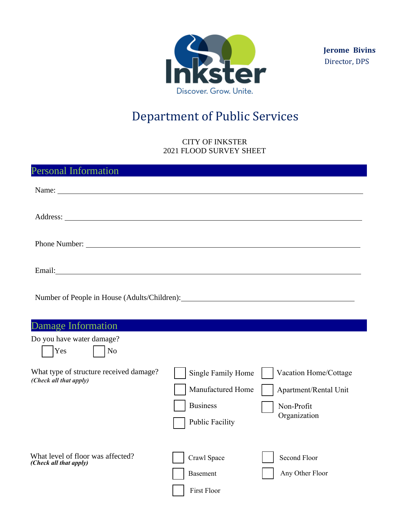

**Jerome Bivins** Director, DPS

## Department of Public Services

## CITY OF INKSTER 2021 FLOOD SURVEY SHEET

| <b>Personal Information</b>                                                                                                                                                                                                          |                                                                                      |                                                                              |
|--------------------------------------------------------------------------------------------------------------------------------------------------------------------------------------------------------------------------------------|--------------------------------------------------------------------------------------|------------------------------------------------------------------------------|
|                                                                                                                                                                                                                                      |                                                                                      |                                                                              |
|                                                                                                                                                                                                                                      |                                                                                      |                                                                              |
| Phone Number: New York Changes and School Changes and School Changes and School Changes and School Changes and School Changes and School Changes and School Changes and School Changes and School Changes and School Changes a       |                                                                                      |                                                                              |
| Email: <u>Constantino and Constantino and Constantino and Constantino and Constantino and Constantino and Constantino and Constantino and Constantino and Constantino and Constantino and Constantino and Constantino and Consta</u> |                                                                                      |                                                                              |
| Number of People in House (Adults/Children): ___________________________________                                                                                                                                                     |                                                                                      |                                                                              |
| <b>Damage Information</b>                                                                                                                                                                                                            |                                                                                      |                                                                              |
| Do you have water damage?<br>Yes<br>N <sub>o</sub>                                                                                                                                                                                   |                                                                                      |                                                                              |
| What type of structure received damage?<br>(Check all that apply)                                                                                                                                                                    | Single Family Home<br>Manufactured Home<br><b>Business</b><br><b>Public Facility</b> | Vacation Home/Cottage<br>Apartment/Rental Unit<br>Non-Profit<br>Organization |
| What level of floor was affected?<br>(Check all that apply)                                                                                                                                                                          | Crawl Space<br><b>Basement</b><br><b>First Floor</b>                                 | <b>Second Floor</b><br>Any Other Floor                                       |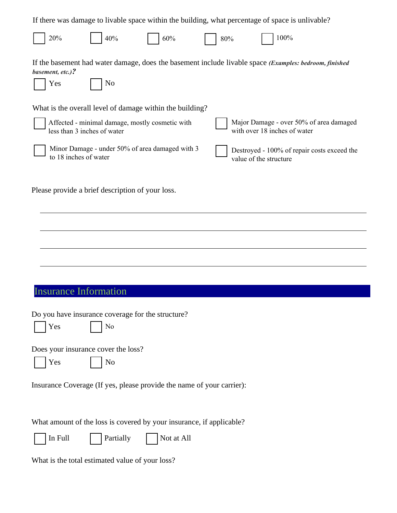| If there was damage to livable space within the building, what percentage of space is unlivable?                                                          |
|-----------------------------------------------------------------------------------------------------------------------------------------------------------|
| 100%<br>20%<br>40%<br>60%<br>80%                                                                                                                          |
| If the basement had water damage, does the basement include livable space (Examples: bedroom, finished<br>basement, etc.)?<br>Yes<br>No                   |
| What is the overall level of damage within the building?                                                                                                  |
| Major Damage - over 50% of area damaged<br>Affected - minimal damage, mostly cosmetic with<br>with over 18 inches of water<br>less than 3 inches of water |
| Minor Damage - under 50% of area damaged with 3<br>Destroyed - 100% of repair costs exceed the<br>to 18 inches of water<br>value of the structure         |
| Please provide a brief description of your loss.                                                                                                          |
|                                                                                                                                                           |
|                                                                                                                                                           |
|                                                                                                                                                           |
| <b>Insurance Information</b>                                                                                                                              |
| Do you have insurance coverage for the structure?<br>Yes<br>No                                                                                            |
| Does your insurance cover the loss?<br>Yes<br>N <sub>0</sub>                                                                                              |
| Insurance Coverage (If yes, please provide the name of your carrier):                                                                                     |
| What amount of the loss is covered by your insurance, if applicable?<br>In Full<br>Partially<br>Not at All                                                |
| What is the total estimated value of your loss?                                                                                                           |